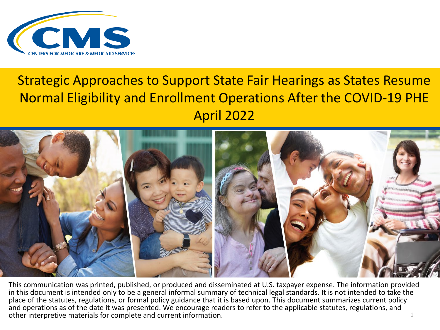

#### Strategic Approaches to Support State Fair Hearings as States Resume Normal Eligibility and Enrollment Operations After the COVID-19 PHE April 2022



This communication was printed, published, or produced and disseminated at U.S. taxpayer expense. The information provided in this document is intended only to be a general informal summary of technical legal standards. It is not intended to take the place of the statutes, regulations, or formal policy guidance that it is based upon. This document summarizes current policy and operations as of the date it was presented. We encourage readers to refer to the applicable statutes, regulations, and other interpretive materials for complete and current information. The state of the state of the state of the state of the state of the state of the state of the state of the state of the state of the state of the state of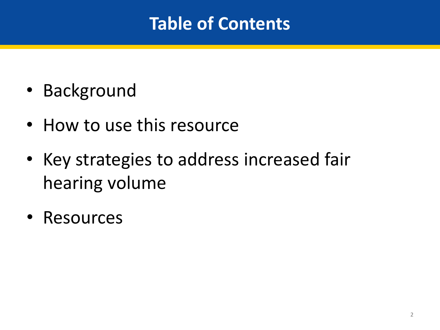#### **Table of Contents**

- Background
- How to use this resource
- Key strategies to address increased fair hearing volume
- Resources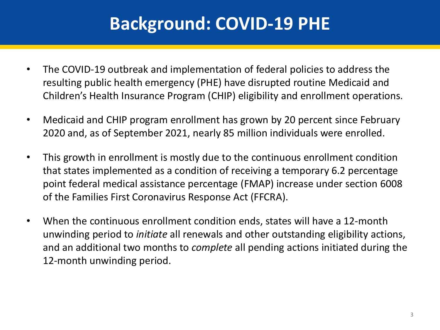#### **Background: COVID-19 PHE**

- The COVID-19 outbreak and implementation of federal policies to address the resulting public health emergency (PHE) have disrupted routine Medicaid and Children's Health Insurance Program (CHIP) eligibility and enrollment operations.
- Medicaid and CHIP program enrollment has grown by 20 percent since February 2020 and, as of September 2021, nearly 85 million individuals were enrolled.
- This growth in enrollment is mostly due to the continuous enrollment condition that states implemented as a condition of receiving a temporary 6.2 percentage point federal medical assistance percentage (FMAP) increase under section 6008 of the Families First Coronavirus Response Act (FFCRA).
- When the continuous enrollment condition ends, states will have a 12-month unwinding period to *initiate* all renewals and other outstanding eligibility actions, and an additional two months to *complete* all pending actions initiated during the 12-month unwinding period.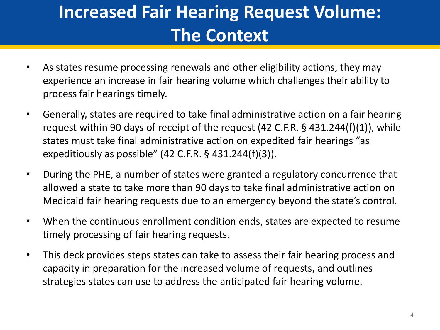# **Increased Fair Hearing Request Volume: The Context**

- As states resume processing renewals and other eligibility actions, they may experience an increase in fair hearing volume which challenges their ability to process fair hearings timely.
- Generally, states are required to take final administrative action on a fair hearing request within 90 days of receipt of the request (42 C.F.R. § 431.244(f)(1)), while states must take final administrative action on expedited fair hearings "as expeditiously as possible" (42 C.F.R. § 431.244(f)(3)).
- During the PHE, a number of states were granted a regulatory concurrence that allowed a state to take more than 90 days to take final administrative action on Medicaid fair hearing requests due to an emergency beyond the state's control.
- When the continuous enrollment condition ends, states are expected to resume timely processing of fair hearing requests.
- This deck provides steps states can take to assess their fair hearing process and capacity in preparation for the increased volume of requests, and outlines strategies states can use to address the anticipated fair hearing volume.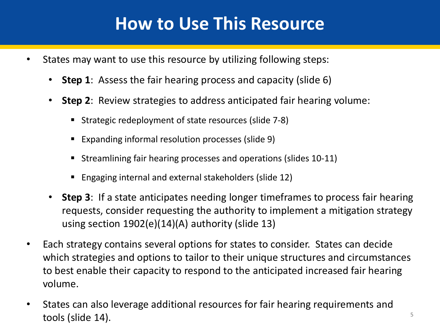#### **How to Use This Resource**

- States may want to use this resource by utilizing following steps:
	- **Step 1**: Assess the fair hearing process and capacity (slide 6)
	- **Step 2**: Review strategies to address anticipated fair hearing volume:
		- Strategic redeployment of state resources (slide 7-8)
		- Expanding informal resolution processes (slide 9)
		- Streamlining fair hearing processes and operations (slides 10-11)
		- Engaging internal and external stakeholders (slide 12)
	- **Step 3**: If a state anticipates needing longer timeframes to process fair hearing requests, consider requesting the authority to implement a mitigation strategy using section 1902(e)(14)(A) authority (slide 13)
- Each strategy contains several options for states to consider. States can decide which strategies and options to tailor to their unique structures and circumstances to best enable their capacity to respond to the anticipated increased fair hearing volume.
- States can also leverage additional resources for fair hearing requirements and tools (slide  $14$ ).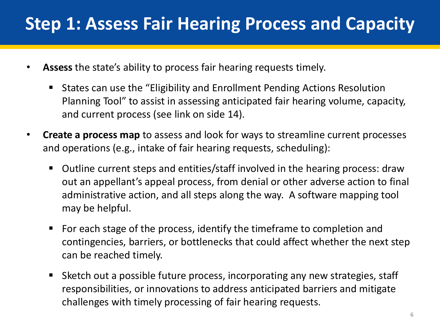#### **Step 1: Assess Fair Hearing Process and Capacity**

- **Assess** the state's ability to process fair hearing requests timely.
	- States can use the "Eligibility and Enrollment Pending Actions Resolution Planning Tool" to assist in assessing anticipated fair hearing volume, capacity, and current process (see link on side 14).
- **Create a process map** to assess and look for ways to streamline current processes and operations (e.g., intake of fair hearing requests, scheduling):
	- Outline current steps and entities/staff involved in the hearing process: draw out an appellant's appeal process, from denial or other adverse action to final administrative action, and all steps along the way. A software mapping tool may be helpful.
	- For each stage of the process, identify the timeframe to completion and contingencies, barriers, or bottlenecks that could affect whether the next step can be reached timely.
	- Sketch out a possible future process, incorporating any new strategies, staff responsibilities, or innovations to address anticipated barriers and mitigate challenges with timely processing of fair hearing requests.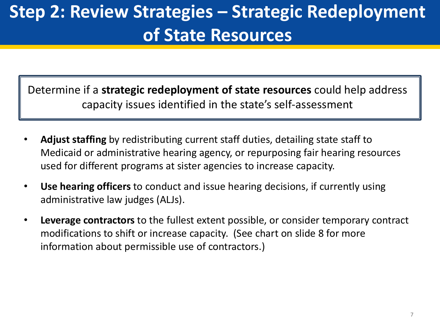### **Step 2: Review Strategies – Strategic Redeployment of State Resources**

Determine if a **strategic redeployment of state resources** could help address capacity issues identified in the state's self-assessment

- **Adjust staffing** by redistributing current staff duties, detailing state staff to Medicaid or administrative hearing agency, or repurposing fair hearing resources used for different programs at sister agencies to increase capacity.
- **Use hearing officers** to conduct and issue hearing decisions, if currently using administrative law judges (ALJs).
- **Leverage contractors** to the fullest extent possible, or consider temporary contract modifications to shift or increase capacity. (See chart on slide 8 for more information about permissible use of contractors.)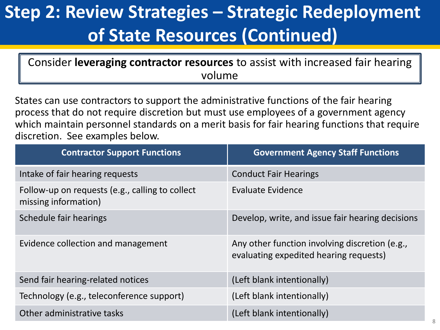# **Step 2: Review Strategies – Strategic Redeployment of State Resources (Continued)**

Consider **leveraging contractor resources** to assist with increased fair hearing volume

States can use contractors to support the administrative functions of the fair hearing process that do not require discretion but must use employees of a government agency which maintain personnel standards on a merit basis for fair hearing functions that require discretion. See examples below.

| <b>Contractor Support Functions</b>                                     | <b>Government Agency Staff Functions</b>                                                 |
|-------------------------------------------------------------------------|------------------------------------------------------------------------------------------|
| Intake of fair hearing requests                                         | <b>Conduct Fair Hearings</b>                                                             |
| Follow-up on requests (e.g., calling to collect<br>missing information) | <b>Evaluate Evidence</b>                                                                 |
| Schedule fair hearings                                                  | Develop, write, and issue fair hearing decisions                                         |
| Evidence collection and management                                      | Any other function involving discretion (e.g.,<br>evaluating expedited hearing requests) |
| Send fair hearing-related notices                                       | (Left blank intentionally)                                                               |
| Technology (e.g., teleconference support)                               | (Left blank intentionally)                                                               |
| Other administrative tasks                                              | (Left blank intentionally)                                                               |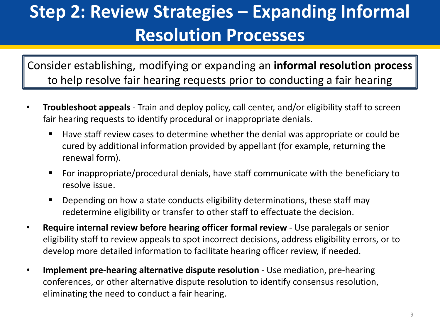#### **Step 2: Review Strategies – Expanding Informal Resolution Processes**

Consider establishing, modifying or expanding an **informal resolution process**  to help resolve fair hearing requests prior to conducting a fair hearing

- **Troubleshoot appeals**  Train and deploy policy, call center, and/or eligibility staff to screen fair hearing requests to identify procedural or inappropriate denials.
	- Have staff review cases to determine whether the denial was appropriate or could be cured by additional information provided by appellant (for example, returning the renewal form).
	- For inappropriate/procedural denials, have staff communicate with the beneficiary to resolve issue.
	- **Depending on how a state conducts eligibility determinations, these staff may** redetermine eligibility or transfer to other staff to effectuate the decision.
- **Require internal review before hearing officer formal review**  Use paralegals or senior eligibility staff to review appeals to spot incorrect decisions, address eligibility errors, or to develop more detailed information to facilitate hearing officer review, if needed.
- **Implement pre-hearing alternative dispute resolution**  Use mediation, pre-hearing conferences, or other alternative dispute resolution to identify consensus resolution, eliminating the need to conduct a fair hearing.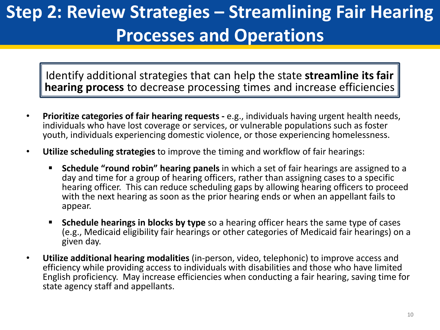# **Step 2: Review Strategies – Streamlining Fair Hearing Processes and Operations**

Identify additional strategies that can help the state **streamline its fair hearing process** to decrease processing times and increase efficiencies

- **Prioritize categories of fair hearing requests -** e.g., individuals having urgent health needs, individuals who have lost coverage or services, or vulnerable populations such as foster youth, individuals experiencing domestic violence, or those experiencing homelessness.
- **Utilize scheduling strategies** to improve the timing and workflow of fair hearings:
	- **Schedule "round robin" hearing panels** in which a set of fair hearings are assigned to a day and time for a group of hearing officers, rather than assigning cases to a specific hearing officer. This can reduce scheduling gaps by allowing hearing officers to proceed with the next hearing as soon as the prior hearing ends or when an appellant fails to appear.
	- **Schedule hearings in blocks by type** so a hearing officer hears the same type of cases (e.g., Medicaid eligibility fair hearings or other categories of Medicaid fair hearings) on a given day.
- **Utilize additional hearing modalities** (in-person, video, telephonic) to improve access and efficiency while providing access to individuals with disabilities and those who have limited English proficiency. May increase efficiencies when conducting a fair hearing, saving time for state agency staff and appellants.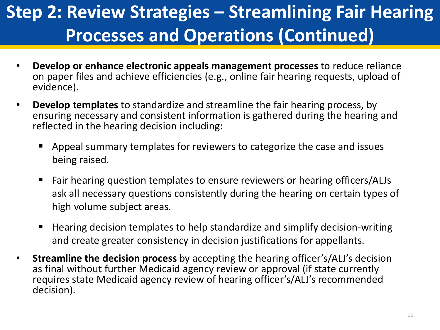# **Step 2: Review Strategies – Streamlining Fair Hearing Processes and Operations (Continued)**

- **Develop or enhance electronic appeals management processes** to reduce reliance on paper files and achieve efficiencies (e.g., online fair hearing requests, upload of evidence).
- **Develop templates** to standardize and streamline the fair hearing process, by ensuring necessary and consistent information is gathered during the hearing and reflected in the hearing decision including:
	- Appeal summary templates for reviewers to categorize the case and issues being raised.
	- Fair hearing question templates to ensure reviewers or hearing officers/ALJs ask all necessary questions consistently during the hearing on certain types of high volume subject areas.
	- Hearing decision templates to help standardize and simplify decision-writing and create greater consistency in decision justifications for appellants.
- **Streamline the decision process** by accepting the hearing officer's/ALJ's decision as final without further Medicaid agency review or approval (if state currently requires state Medicaid agency review of hearing officer's/ALJ's recommended decision).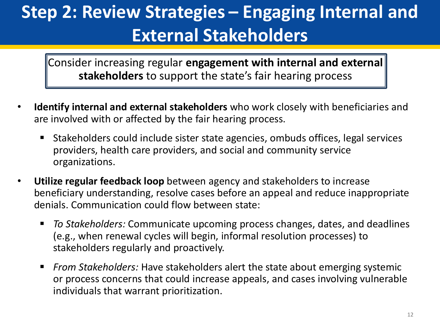### **Step 2: Review Strategies – Engaging Internal and External Stakeholders**

Consider increasing regular **engagement with internal and external stakeholders** to support the state's fair hearing process

- **Identify internal and external stakeholders** who work closely with beneficiaries and are involved with or affected by the fair hearing process.
	- Stakeholders could include sister state agencies, ombuds offices, legal services providers, health care providers, and social and community service organizations.
- **Utilize regular feedback loop** between agency and stakeholders to increase beneficiary understanding, resolve cases before an appeal and reduce inappropriate denials. Communication could flow between state:
	- *To Stakeholders:* Communicate upcoming process changes, dates, and deadlines (e.g., when renewal cycles will begin, informal resolution processes) to stakeholders regularly and proactively.
	- *From Stakeholders:* Have stakeholders alert the state about emerging systemic or process concerns that could increase appeals, and cases involving vulnerable individuals that warrant prioritization.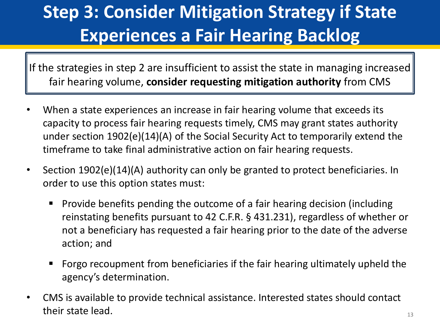# **Step 3: Consider Mitigation Strategy if State Experiences a Fair Hearing Backlog**

If the strategies in step 2 are insufficient to assist the state in managing increased fair hearing volume, **consider requesting mitigation authority** from CMS

- When a state experiences an increase in fair hearing volume that exceeds its capacity to process fair hearing requests timely, CMS may grant states authority under section 1902(e)(14)(A) of the Social Security Act to temporarily extend the timeframe to take final administrative action on fair hearing requests.
- Section 1902(e)(14)(A) authority can only be granted to protect beneficiaries. In order to use this option states must:
	- **Provide benefits pending the outcome of a fair hearing decision (including** reinstating benefits pursuant to 42 C.F.R. § 431.231), regardless of whether or not a beneficiary has requested a fair hearing prior to the date of the adverse action; and
	- Forgo recoupment from beneficiaries if the fair hearing ultimately upheld the agency's determination.
- CMS is available to provide technical assistance. Interested states should contact their state lead.  $13$